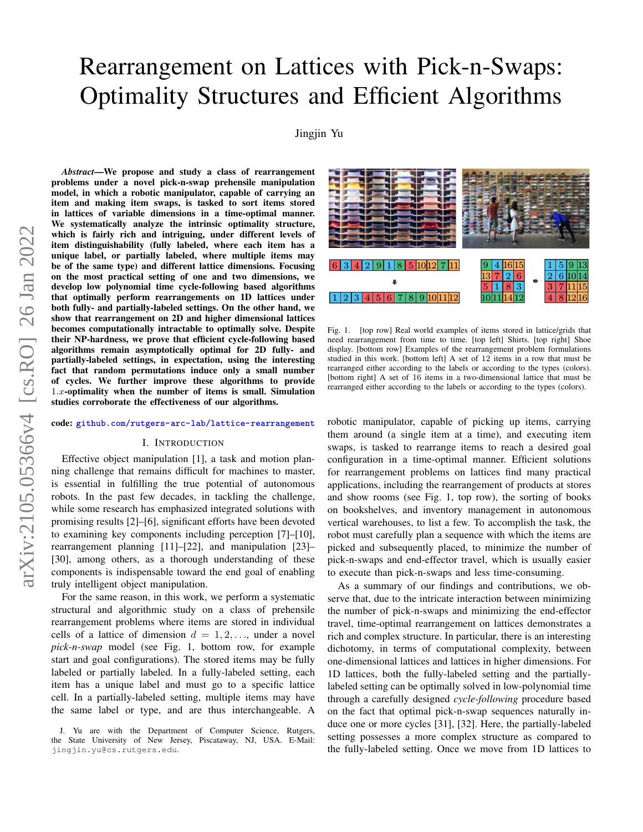# Rearrangement on Lattices with Pick-n-Swaps: Optimality Structures and Efficient Algorithms

[Jingjin Yu](https://jingjinyu.com/)

arXiv:2105.05366v4 [cs.RO] 26 Jan 2022 arXiv:2105.05366v4 [cs.RO] 26 Jan 2022

*Abstract*—We propose and study a class of rearrangement problems under a novel pick-n-swap prehensile manipulation model, in which a robotic manipulator, capable of carrying an item and making item swaps, is tasked to sort items stored in lattices of variable dimensions in a time-optimal manner. We systematically analyze the intrinsic optimality structure, which is fairly rich and intriguing, under different levels of item distinguishability (fully labeled, where each item has a unique label, or partially labeled, where multiple items may be of the same type) and different lattice dimensions. Focusing on the most practical setting of one and two dimensions, we develop low polynomial time cycle-following based algorithms that optimally perform rearrangements on 1D lattices under both fully- and partially-labeled settings. On the other hand, we show that rearrangement on 2D and higher dimensional lattices becomes computationally intractable to optimally solve. Despite their NP-hardness, we prove that efficient cycle-following based algorithms remain asymptotically optimal for 2D fully- and partially-labeled settings, in expectation, using the interesting fact that random permutations induce only a small number of cycles. We further improve these algorithms to provide  $1.x$ -optimality when the number of items is small. Simulation studies corroborate the effectiveness of our algorithms.

#### code: **[github.com/rutgers-arc-lab/lattice-rearrangement](https://github.com/rutgers-arc-lab/lattice-rearrangement/)**

#### I. INTRODUCTION

Effective object manipulation [\[1\]](#page-11-0), a task and motion planning challenge that remains difficult for machines to master, is essential in fulfilling the true potential of autonomous robots. In the past few decades, in tackling the challenge, while some research has emphasized integrated solutions with promising results [\[2\]](#page-11-1)–[\[6\]](#page-11-2), significant efforts have been devoted to examining key components including perception [\[7\]](#page-11-3)–[\[10\]](#page-11-4), rearrangement planning [\[11\]](#page-11-5)–[\[22\]](#page-11-6), and manipulation [\[23\]](#page-11-7)– [\[30\]](#page-11-8), among others, as a thorough understanding of these components is indispensable toward the end goal of enabling truly intelligent object manipulation.

For the same reason, in this work, we perform a systematic structural and algorithmic study on a class of prehensile rearrangement problems where items are stored in individual cells of a lattice of dimension  $d = 1, 2, \ldots$ , under a novel *pick-n-swap* model (see Fig. [1,](#page-0-0) bottom row, for example start and goal configurations). The stored items may be fully labeled or partially labeled. In a fully-labeled setting, each item has a unique label and must go to a specific lattice cell. In a partially-labeled setting, multiple items may have the same label or type, and are thus interchangeable. A



<span id="page-0-0"></span>Fig. 1. [top row] Real world examples of items stored in lattice/grids that need rearrangement from time to time. [top left] Shirts. [top right] Shoe display. [bottom row] Examples of the rearrangement problem formulations studied in this work. [bottom left] A set of 12 items in a row that must be rearranged either according to the labels or according to the types (colors). [bottom right] A set of 16 items in a two-dimensional lattice that must be rearranged either according to the labels or according to the types (colors).

robotic manipulator, capable of picking up items, carrying them around (a single item at a time), and executing item swaps, is tasked to rearrange items to reach a desired goal configuration in a time-optimal manner. Efficient solutions for rearrangement problems on lattices find many practical applications, including the rearrangement of products at stores and show rooms (see Fig. [1,](#page-0-0) top row), the sorting of books on bookshelves, and inventory management in autonomous vertical warehouses, to list a few. To accomplish the task, the robot must carefully plan a sequence with which the items are picked and subsequently placed, to minimize the number of pick-n-swaps and end-effector travel, which is usually easier to execute than pick-n-swaps and less time-consuming.

As a summary of our findings and contributions, we observe that, due to the intricate interaction between minimizing the number of pick-n-swaps and minimizing the end-effector travel, time-optimal rearrangement on lattices demonstrates a rich and complex structure. In particular, there is an interesting dichotomy, in terms of computational complexity, between one-dimensional lattices and lattices in higher dimensions. For 1D lattices, both the fully-labeled setting and the partiallylabeled setting can be optimally solved in low-polynomial time through a carefully designed *cycle-following* procedure based on the fact that optimal pick-n-swap sequences naturally induce one or more cycles [\[31\]](#page-11-9), [\[32\]](#page-11-10). Here, the partially-labeled setting possesses a more complex structure as compared to the fully-labeled setting. Once we move from 1D lattices to

J. Yu are with the Department of Computer Science, Rutgers, the State University of New Jersey, Piscataway, NJ, USA. E-Mail: jingjin.yu@cs.rutgers.edu.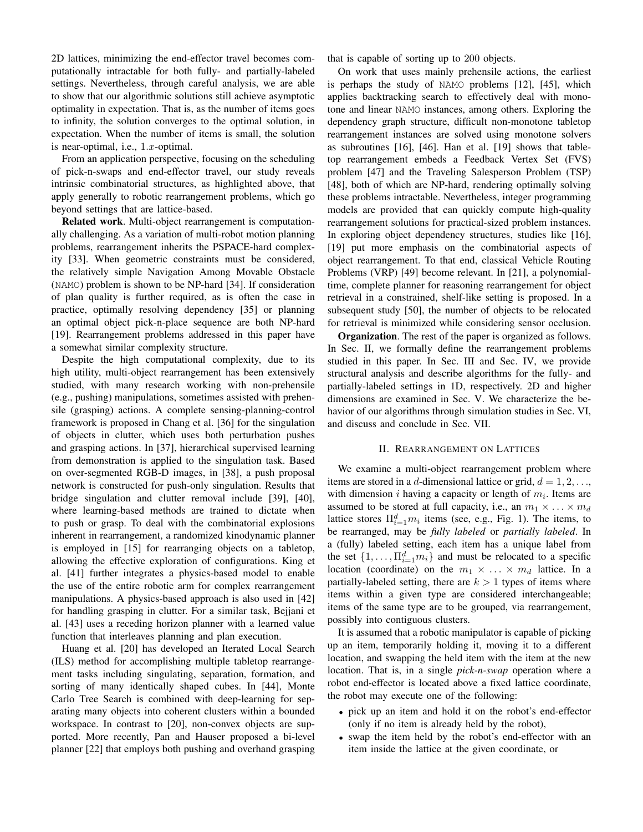2D lattices, minimizing the end-effector travel becomes computationally intractable for both fully- and partially-labeled settings. Nevertheless, through careful analysis, we are able to show that our algorithmic solutions still achieve asymptotic optimality in expectation. That is, as the number of items goes to infinity, the solution converges to the optimal solution, in expectation. When the number of items is small, the solution is near-optimal, i.e.,  $1.x$ -optimal.

From an application perspective, focusing on the scheduling of pick-n-swaps and end-effector travel, our study reveals intrinsic combinatorial structures, as highlighted above, that apply generally to robotic rearrangement problems, which go beyond settings that are lattice-based.

Related work. Multi-object rearrangement is computationally challenging. As a variation of multi-robot motion planning problems, rearrangement inherits the PSPACE-hard complexity [\[33\]](#page-11-11). When geometric constraints must be considered, the relatively simple Navigation Among Movable Obstacle (NAMO) problem is shown to be NP-hard [\[34\]](#page-11-12). If consideration of plan quality is further required, as is often the case in practice, optimally resolving dependency [\[35\]](#page-12-0) or planning an optimal object pick-n-place sequence are both NP-hard [\[19\]](#page-11-13). Rearrangement problems addressed in this paper have a somewhat similar complexity structure.

Despite the high computational complexity, due to its high utility, multi-object rearrangement has been extensively studied, with many research working with non-prehensile (e.g., pushing) manipulations, sometimes assisted with prehensile (grasping) actions. A complete sensing-planning-control framework is proposed in Chang et al. [\[36\]](#page-12-1) for the singulation of objects in clutter, which uses both perturbation pushes and grasping actions. In [\[37\]](#page-12-2), hierarchical supervised learning from demonstration is applied to the singulation task. Based on over-segmented RGB-D images, in [\[38\]](#page-12-3), a push proposal network is constructed for push-only singulation. Results that bridge singulation and clutter removal include [\[39\]](#page-12-4), [\[40\]](#page-12-5), where learning-based methods are trained to dictate when to push or grasp. To deal with the combinatorial explosions inherent in rearrangement, a randomized kinodynamic planner is employed in [\[15\]](#page-11-14) for rearranging objects on a tabletop, allowing the effective exploration of configurations. King et al. [\[41\]](#page-12-6) further integrates a physics-based model to enable the use of the entire robotic arm for complex rearrangement manipulations. A physics-based approach is also used in [\[42\]](#page-12-7) for handling grasping in clutter. For a similar task, Bejjani et al. [\[43\]](#page-12-8) uses a receding horizon planner with a learned value function that interleaves planning and plan execution.

Huang et al. [\[20\]](#page-11-15) has developed an Iterated Local Search (ILS) method for accomplishing multiple tabletop rearrangement tasks including singulating, separation, formation, and sorting of many identically shaped cubes. In [\[44\]](#page-12-9), Monte Carlo Tree Search is combined with deep-learning for separating many objects into coherent clusters within a bounded workspace. In contrast to [\[20\]](#page-11-15), non-convex objects are supported. More recently, Pan and Hauser proposed a bi-level planner [\[22\]](#page-11-6) that employs both pushing and overhand grasping that is capable of sorting up to 200 objects.

On work that uses mainly prehensile actions, the earliest is perhaps the study of NAMO problems [\[12\]](#page-11-16), [\[45\]](#page-12-10), which applies backtracking search to effectively deal with monotone and linear NAMO instances, among others. Exploring the dependency graph structure, difficult non-monotone tabletop rearrangement instances are solved using monotone solvers as subroutines [\[16\]](#page-11-17), [\[46\]](#page-12-11). Han et al. [\[19\]](#page-11-13) shows that tabletop rearrangement embeds a Feedback Vertex Set (FVS) problem [\[47\]](#page-12-12) and the Traveling Salesperson Problem (TSP) [\[48\]](#page-12-13), both of which are NP-hard, rendering optimally solving these problems intractable. Nevertheless, integer programming models are provided that can quickly compute high-quality rearrangement solutions for practical-sized problem instances. In exploring object dependency structures, studies like [\[16\]](#page-11-17), [\[19\]](#page-11-13) put more emphasis on the combinatorial aspects of object rearrangement. To that end, classical Vehicle Routing Problems (VRP) [\[49\]](#page-12-14) become relevant. In [\[21\]](#page-11-18), a polynomialtime, complete planner for reasoning rearrangement for object retrieval in a constrained, shelf-like setting is proposed. In a subsequent study [\[50\]](#page-12-15), the number of objects to be relocated for retrieval is minimized while considering sensor occlusion.

Organization. The rest of the paper is organized as follows. In Sec. [II,](#page-1-0) we formally define the rearrangement problems studied in this paper. In Sec. [III](#page-2-0) and Sec. [IV,](#page-4-0) we provide structural analysis and describe algorithms for the fully- and partially-labeled settings in 1D, respectively. 2D and higher dimensions are examined in Sec. [V.](#page-7-0) We characterize the behavior of our algorithms through simulation studies in Sec. [VI,](#page-9-0) and discuss and conclude in Sec. [VII.](#page-10-0)

## II. REARRANGEMENT ON LATTICES

<span id="page-1-0"></span>We examine a multi-object rearrangement problem where items are stored in a d-dimensional lattice or grid,  $d = 1, 2, \ldots$ with dimension i having a capacity or length of  $m_i$ . Items are assumed to be stored at full capacity, i.e., an  $m_1 \times \ldots \times m_d$ lattice stores  $\prod_{i=1}^{d} m_i$  items (see, e.g., Fig. [1\)](#page-0-0). The items, to be rearranged, may be *fully labeled* or *partially labeled*. In a (fully) labeled setting, each item has a unique label from the set  $\{1, \ldots, \prod_{i=1}^{d} m_i\}$  and must be relocated to a specific location (coordinate) on the  $m_1 \times \ldots \times m_d$  lattice. In a partially-labeled setting, there are  $k > 1$  types of items where items within a given type are considered interchangeable; items of the same type are to be grouped, via rearrangement, possibly into contiguous clusters.

It is assumed that a robotic manipulator is capable of picking up an item, temporarily holding it, moving it to a different location, and swapping the held item with the item at the new location. That is, in a single *pick-n-swap* operation where a robot end-effector is located above a fixed lattice coordinate, the robot may execute one of the following:

- pick up an item and hold it on the robot's end-effector (only if no item is already held by the robot),
- swap the item held by the robot's end-effector with an item inside the lattice at the given coordinate, or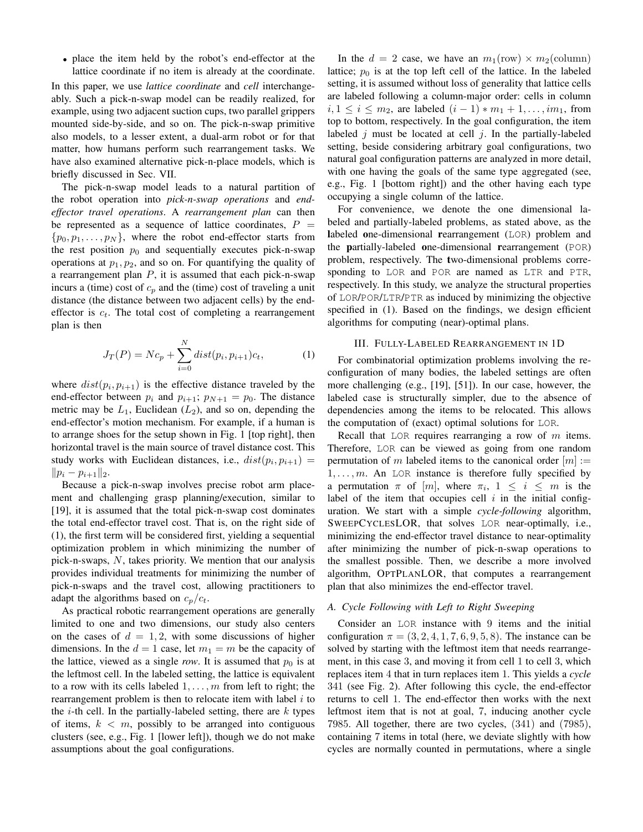• place the item held by the robot's end-effector at the lattice coordinate if no item is already at the coordinate.

In this paper, we use *lattice coordinate* and *cell* interchangeably. Such a pick-n-swap model can be readily realized, for example, using two adjacent suction cups, two parallel grippers mounted side-by-side, and so on. The pick-n-swap primitive also models, to a lesser extent, a dual-arm robot or for that matter, how humans perform such rearrangement tasks. We have also examined alternative pick-n-place models, which is briefly discussed in Sec. [VII.](#page-10-0)

The pick-n-swap model leads to a natural partition of the robot operation into *pick-n-swap operations* and *endeffector travel operations*. A *rearrangement plan* can then be represented as a sequence of lattice coordinates,  $P =$  $\{p_0, p_1, \ldots, p_N\}$ , where the robot end-effector starts from the rest position  $p_0$  and sequentially executes pick-n-swap operations at  $p_1, p_2$ , and so on. For quantifying the quality of a rearrangement plan  $P$ , it is assumed that each pick-n-swap incurs a (time) cost of  $c_p$  and the (time) cost of traveling a unit distance (the distance between two adjacent cells) by the endeffector is  $c_t$ . The total cost of completing a rearrangement plan is then

$$
J_T(P) = Nc_p + \sum_{i=0}^{N} dist(p_i, p_{i+1})c_t,
$$
 (1)

where  $dist(p_i, p_{i+1})$  is the effective distance traveled by the end-effector between  $p_i$  and  $p_{i+1}$ ;  $p_{N+1} = p_0$ . The distance metric may be  $L_1$ , Euclidean  $(L_2)$ , and so on, depending the end-effector's motion mechanism. For example, if a human is to arrange shoes for the setup shown in Fig. [1](#page-0-0) [top right], then horizontal travel is the main source of travel distance cost. This study works with Euclidean distances, i.e.,  $dist(p_i, p_{i+1}) =$  $||p_i - p_{i+1}||_2.$ 

Because a pick-n-swap involves precise robot arm placement and challenging grasp planning/execution, similar to [\[19\]](#page-11-13), it is assumed that the total pick-n-swap cost dominates the total end-effector travel cost. That is, on the right side of [\(1\)](#page-2-1), the first term will be considered first, yielding a sequential optimization problem in which minimizing the number of pick-n-swaps,  $N$ , takes priority. We mention that our analysis provides individual treatments for minimizing the number of pick-n-swaps and the travel cost, allowing practitioners to adapt the algorithms based on  $c_p/c_t$ .

As practical robotic rearrangement operations are generally limited to one and two dimensions, our study also centers on the cases of  $d = 1, 2$ , with some discussions of higher dimensions. In the  $d = 1$  case, let  $m_1 = m$  be the capacity of the lattice, viewed as a single *row*. It is assumed that  $p_0$  is at the leftmost cell. In the labeled setting, the lattice is equivalent to a row with its cells labeled  $1, \ldots, m$  from left to right; the rearrangement problem is then to relocate item with label  $i$  to the *i*-th cell. In the partially-labeled setting, there are  $k$  types of items,  $k < m$ , possibly to be arranged into contiguous clusters (see, e.g., Fig. [1](#page-0-0) [lower left]), though we do not make assumptions about the goal configurations.

In the  $d = 2$  case, we have an  $m_1(\text{row}) \times m_2(\text{column})$ lattice;  $p_0$  is at the top left cell of the lattice. In the labeled setting, it is assumed without loss of generality that lattice cells are labeled following a column-major order: cells in column  $i, 1 \le i \le m_2$ , are labeled  $(i - 1) * m_1 + 1, ..., im_1$ , from top to bottom, respectively. In the goal configuration, the item labeled  $j$  must be located at cell  $j$ . In the partially-labeled setting, beside considering arbitrary goal configurations, two natural goal configuration patterns are analyzed in more detail, with one having the goals of the same type aggregated (see, e.g., Fig. [1](#page-0-0) [bottom right]) and the other having each type occupying a single column of the lattice.

For convenience, we denote the one dimensional labeled and partially-labeled problems, as stated above, as the labeled one-dimensional rearrangement (LOR) problem and the partially-labeled one-dimensional rearrangement (POR) problem, respectively. The two-dimensional problems corresponding to LOR and POR are named as LTR and PTR, respectively. In this study, we analyze the structural properties of LOR/POR/LTR/PTR as induced by minimizing the objective specified in [\(1\)](#page-2-1). Based on the findings, we design efficient algorithms for computing (near)-optimal plans.

#### III. FULLY-LABELED REARRANGEMENT IN 1D

<span id="page-2-1"></span><span id="page-2-0"></span>For combinatorial optimization problems involving the reconfiguration of many bodies, the labeled settings are often more challenging (e.g., [\[19\]](#page-11-13), [\[51\]](#page-12-16)). In our case, however, the labeled case is structurally simpler, due to the absence of dependencies among the items to be relocated. This allows the computation of (exact) optimal solutions for LOR.

Recall that LOR requires rearranging a row of  $m$  items. Therefore, LOR can be viewed as going from one random permutation of m labeled items to the canonical order  $[m] :=$  $1, \ldots, m$ . An LOR instance is therefore fully specified by a permutation  $\pi$  of  $[m]$ , where  $\pi_i$ ,  $1 \leq i \leq m$  is the label of the item that occupies cell  $i$  in the initial configuration. We start with a simple *cycle-following* algorithm, SWEEPCYCLESLOR, that solves LOR near-optimally, i.e., minimizing the end-effector travel distance to near-optimality after minimizing the number of pick-n-swap operations to the smallest possible. Then, we describe a more involved algorithm, OPTPLANLOR, that computes a rearrangement plan that also minimizes the end-effector travel.

## *A. Cycle Following with Left to Right Sweeping*

Consider an LOR instance with 9 items and the initial configuration  $\pi = (3, 2, 4, 1, 7, 6, 9, 5, 8)$ . The instance can be solved by starting with the leftmost item that needs rearrangement, in this case 3, and moving it from cell 1 to cell 3, which replaces item 4 that in turn replaces item 1. This yields a *cycle* 341 (see Fig. [2\)](#page-3-0). After following this cycle, the end-effector returns to cell 1. The end-effector then works with the next leftmost item that is not at goal, 7, inducing another cycle 7985. All together, there are two cycles, (341) and (7985), containing 7 items in total (here, we deviate slightly with how cycles are normally counted in permutations, where a single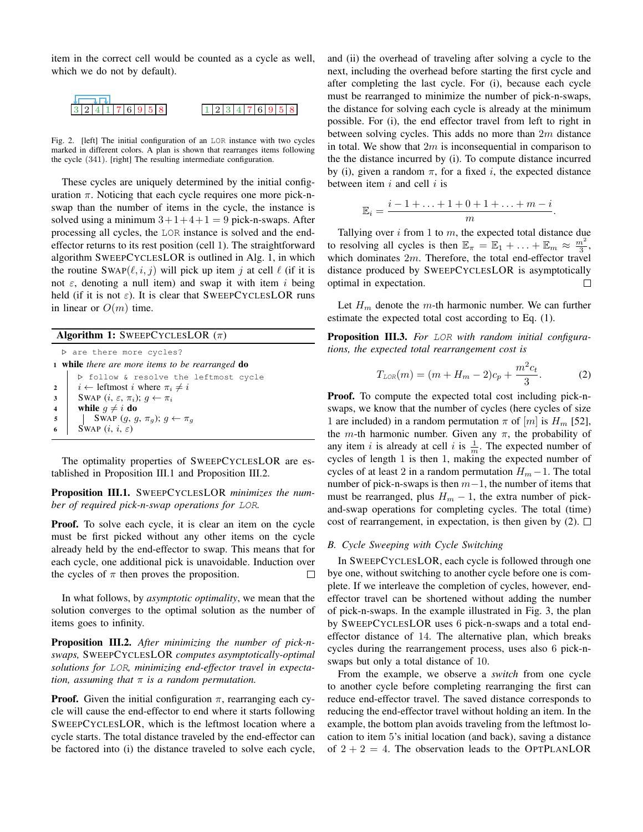item in the correct cell would be counted as a cycle as well, which we do not by default).

<span id="page-3-0"></span>

Fig. 2. [left] The initial configuration of an LOR instance with two cycles marked in different colors. A plan is shown that rearranges items following the cycle (341). [right] The resulting intermediate configuration.

These cycles are uniquely determined by the initial configuration  $\pi$ . Noticing that each cycle requires one more pick-nswap than the number of items in the cycle, the instance is solved using a minimum  $3+1+4+1=9$  pick-n-swaps. After processing all cycles, the LOR instance is solved and the endeffector returns to its rest position (cell 1). The straightforward algorithm SWEEPCYCLESLOR is outlined in Alg. [1,](#page-3-1) in which the routine SWAP( $(\ell, i, j)$ ) will pick up item j at cell  $\ell$  (if it is not  $\varepsilon$ , denoting a null item) and swap it with item i being held (if it is not  $\varepsilon$ ). It is clear that SWEEPCYCLESLOR runs in linear or  $O(m)$  time.

#### **Algorithm 1:** SWEEPCYCLESLOR  $(\pi)$

. are there more cycles? <sup>1</sup> while *there are more items to be rearranged* do . follow & resolve the leftmost cycle 2 |  $i \leftarrow$  leftmost i where  $\pi_i \neq i$ 3 | SWAP  $(i, \varepsilon, \pi_i); g \leftarrow \pi_i$ 4 while  $g \neq i$  do 5 | SWAP  $(g, g, \pi_g); g \leftarrow \pi_g$ SWAP  $(i, i, \varepsilon)$ 

<span id="page-3-1"></span>The optimality properties of SWEEPCYCLESLOR are established in Proposition [III.1](#page-3-2) and Proposition [III.2.](#page-3-3)

<span id="page-3-2"></span>Proposition III.1. SWEEPCYCLESLOR *minimizes the number of required pick-n-swap operations for* LOR*.*

Proof. To solve each cycle, it is clear an item on the cycle must be first picked without any other items on the cycle already held by the end-effector to swap. This means that for each cycle, one additional pick is unavoidable. Induction over the cycles of  $\pi$  then proves the proposition.  $\Box$ 

In what follows, by *asymptotic optimality*, we mean that the solution converges to the optimal solution as the number of items goes to infinity.

<span id="page-3-3"></span>Proposition III.2. *After minimizing the number of pick-nswaps,* SWEEPCYCLESLOR *computes asymptotically-optimal solutions for* LOR*, minimizing end-effector travel in expectation, assuming that* π *is a random permutation.*

**Proof.** Given the initial configuration  $\pi$ , rearranging each cycle will cause the end-effector to end where it starts following SWEEPCYCLESLOR, which is the leftmost location where a cycle starts. The total distance traveled by the end-effector can be factored into (i) the distance traveled to solve each cycle, and (ii) the overhead of traveling after solving a cycle to the next, including the overhead before starting the first cycle and after completing the last cycle. For (i), because each cycle must be rearranged to minimize the number of pick-n-swaps, the distance for solving each cycle is already at the minimum possible. For (i), the end effector travel from left to right in between solving cycles. This adds no more than  $2m$  distance in total. We show that  $2m$  is inconsequential in comparison to the the distance incurred by (i). To compute distance incurred by (i), given a random  $\pi$ , for a fixed i, the expected distance between item  $i$  and cell  $i$  is

$$
\mathbb{E}_i = \frac{i-1+\ldots+1+0+1+\ldots+m-i}{m}.
$$

Tallying over  $i$  from 1 to  $m$ , the expected total distance due to resolving all cycles is then  $\mathbb{E}_{\pi} = \mathbb{E}_1 + \ldots + \mathbb{E}_m \approx \frac{m^2}{3}$ , which dominates 2m. Therefore, the total end-effector travel distance produced by SWEEPCYCLESLOR is asymptotically optimal in expectation. П

Let  $H_m$  denote the m-th harmonic number. We can further estimate the expected total cost according to Eq. [\(1\)](#page-2-1).

Proposition III.3. *For* LOR *with random initial configurations, the expected total rearrangement cost is*

<span id="page-3-4"></span>
$$
T_{LOR}(m) = (m + H_m - 2)c_p + \frac{m^2c_t}{3}.
$$
 (2)

Proof. To compute the expected total cost including pick-nswaps, we know that the number of cycles (here cycles of size 1 are included) in a random permutation  $\pi$  of  $[m]$  is  $H_m$  [\[52\]](#page-12-17), the *m*-th harmonic number. Given any  $\pi$ , the probability of any item *i* is already at cell *i* is  $\frac{1}{m}$ . The expected number of cycles of length 1 is then 1, making the expected number of cycles of at least 2 in a random permutation  $H_m - 1$ . The total number of pick-n-swaps is then  $m-1$ , the number of items that must be rearranged, plus  $H_m - 1$ , the extra number of pickand-swap operations for completing cycles. The total (time) cost of rearrangement, in expectation, is then given by  $(2)$ .  $\square$ 

#### *B. Cycle Sweeping with Cycle Switching*

In SWEEPCYCLESLOR, each cycle is followed through one bye one, without switching to another cycle before one is complete. If we interleave the completion of cycles, however, endeffector travel can be shortened without adding the number of pick-n-swaps. In the example illustrated in Fig. [3,](#page-4-1) the plan by SWEEPCYCLESLOR uses 6 pick-n-swaps and a total endeffector distance of 14. The alternative plan, which breaks cycles during the rearrangement process, uses also 6 pick-nswaps but only a total distance of 10.

From the example, we observe a *switch* from one cycle to another cycle before completing rearranging the first can reduce end-effector travel. The saved distance corresponds to reducing the end-effector travel without holding an item. In the example, the bottom plan avoids traveling from the leftmost location to item 5's initial location (and back), saving a distance of  $2 + 2 = 4$ . The observation leads to the OPTPLANLOR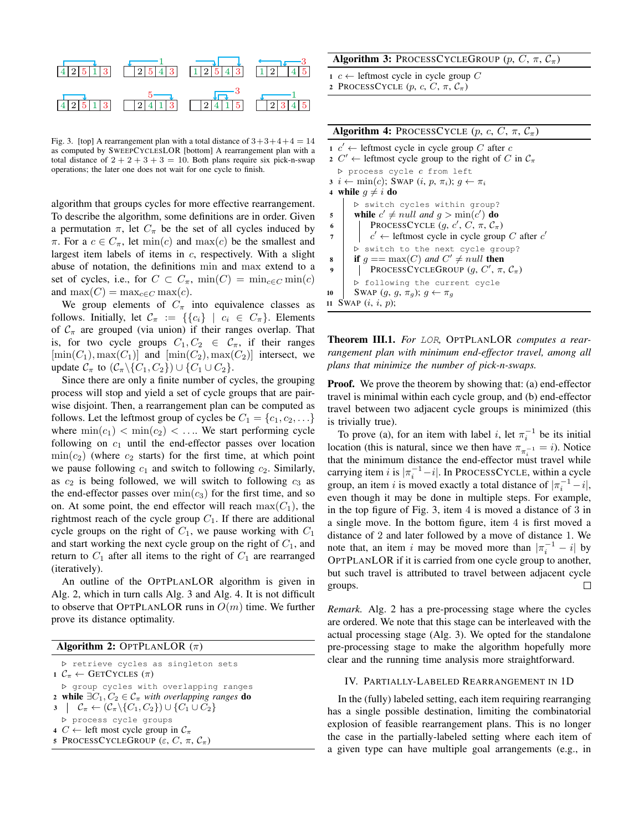

<span id="page-4-1"></span>Fig. 3. [top] A rearrangement plan with a total distance of  $3+3+4+4=14$ as computed by SWEEPCYCLESLOR [bottom] A rearrangement plan with a total distance of  $2 + 2 + 3 + 3 = 10$ . Both plans require six pick-n-swap operations; the later one does not wait for one cycle to finish.

algorithm that groups cycles for more effective rearrangement. To describe the algorithm, some definitions are in order. Given a permutation  $\pi$ , let  $C_{\pi}$  be the set of all cycles induced by  $\pi$ . For a  $c \in C_{\pi}$ , let min(c) and max(c) be the smallest and largest item labels of items in c, respectively. With a slight abuse of notation, the definitions min and max extend to a set of cycles, i.e., for  $C \subset C_{\pi}$ ,  $\min(C) = \min_{c \in C} \min(c)$ and  $\max(C) = \max_{c \in C} \max(c)$ .

We group elements of  $C_{\pi}$  into equivalence classes as follows. Initially, let  $\mathcal{C}_{\pi} := \{ \{c_i\} \mid c_i \in C_{\pi} \}.$  Elements of  $C_{\pi}$  are grouped (via union) if their ranges overlap. That is, for two cycle groups  $C_1, C_2 \in \mathcal{C}_{\pi}$ , if their ranges  $[\min(C_1), \max(C_1)]$  and  $[\min(C_2), \max(C_2)]$  intersect, we update  $C_{\pi}$  to  $(C_{\pi}\backslash\{C_1, C_2\})\cup\{C_1\cup C_2\}.$ 

Since there are only a finite number of cycles, the grouping process will stop and yield a set of cycle groups that are pairwise disjoint. Then, a rearrangement plan can be computed as follows. Let the leftmost group of cycles be  $C_1 = \{c_1, c_2, \ldots\}$ where  $\min(c_1) < \min(c_2) < \dots$  We start performing cycle following on  $c_1$  until the end-effector passes over location  $\min(c_2)$  (where  $c_2$  starts) for the first time, at which point we pause following  $c_1$  and switch to following  $c_2$ . Similarly, as  $c_2$  is being followed, we will switch to following  $c_3$  as the end-effector passes over  $\min(c_3)$  for the first time, and so on. At some point, the end effector will reach  $\max(C_1)$ , the rightmost reach of the cycle group  $C_1$ . If there are additional cycle groups on the right of  $C_1$ , we pause working with  $C_1$ and start working the next cycle group on the right of  $C_1$ , and return to  $C_1$  after all items to the right of  $C_1$  are rearranged (iteratively).

An outline of the OPTPLANLOR algorithm is given in Alg. [2,](#page-4-2) which in turn calls Alg. [3](#page-4-3) and Alg. [4.](#page-4-4) It is not difficult to observe that OPTPLANLOR runs in  $O(m)$  time. We further prove its distance optimality.

## Algorithm 2: OPTPLANLOR  $(\pi)$

<span id="page-4-2"></span>

| ▷ retrieve cycles as singleton sets<br>$1 \mathcal{C}_{\pi} \leftarrow$ GETCYCLES $(\pi)$ |
|-------------------------------------------------------------------------------------------|
| ▷ group cycles with overlapping ranges                                                    |
| 2 while $\exists C_1, C_2 \in \mathcal{C}_{\pi}$ with overlapping ranges do               |
| $3 \mid C_{\pi} \leftarrow (C_{\pi} \setminus \{C_1, C_2\}) \cup \{C_1 \cup C_2\}$        |
| ▷ process cycle groups                                                                    |
| 4 $C \leftarrow$ left most cycle group in $C_{\pi}$                                       |
| 5 PROCESSCYCLEGROUP $(\varepsilon, C, \pi, C_{\pi})$                                      |

# Algorithm 3: PROCESSCYCLEGROUP  $(p, C, \pi, C_{\pi})$

- 1 *c* ← leftmost cycle in cycle group  $C$
- <span id="page-4-3"></span>2 PROCESSCYCLE  $(p, c, C, \pi, C_{\pi})$

| <b>Algorithm 4:</b> PROCESSCYCLE $(p, c, C, \pi, C_{\pi})$                                                                                                                                         |  |  |
|----------------------------------------------------------------------------------------------------------------------------------------------------------------------------------------------------|--|--|
| $1 \, c' \leftarrow$ leftmost cycle in cycle group C after c<br>2 $C' \leftarrow$ leftmost cycle group to the right of C in $C_{\pi}$                                                              |  |  |
| $\triangleright$ process cycle c from left<br>$3 \ i \leftarrow \min(c)$ ; SWAP $(i, p, \pi_i)$ ; $q \leftarrow \pi_i$<br>4 while $q \neq i$ do                                                    |  |  |
| ▷ switch cycles within group?<br>while $c' \neq null$ and $q > min(c')$ do<br>5<br>PROCESSCYCLE $(q, c', C, \pi, C_{\pi})$<br>6<br>$c' \leftarrow$ leftmost cycle in cycle group C after $c'$<br>7 |  |  |
| ▷ switch to the next cycle group?<br>if $q = max(C)$ and $C' \neq null$ then<br>8<br>PROCESSCYCLEGROUP $(g, C', \pi, C_\pi)$<br>9                                                                  |  |  |
| ▷ following the current cycle<br>SWAP $(g, g, \pi_g); g \leftarrow \pi_g$<br>10<br>SWAP $(i, i, p)$ ;<br>11                                                                                        |  |  |

<span id="page-4-4"></span>Theorem III.1. *For* LOR*,* OPTPLANLOR *computes a rearrangement plan with minimum end-effector travel, among all plans that minimize the number of pick-n-swaps.*

**Proof.** We prove the theorem by showing that: (a) end-effector travel is minimal within each cycle group, and (b) end-effector travel between two adjacent cycle groups is minimized (this is trivially true).

To prove (a), for an item with label *i*, let  $\pi_i^{-1}$  be its initial location (this is natural, since we then have  $\pi_{\pi_i^{-1}} = i$ ). Notice that the minimum distance the end-effector must travel while carrying item i is  $|\pi_i^{-1} - i|$ . In PROCESSCYCLE, within a cycle group, an item i is moved exactly a total distance of  $|\pi_i^{-1} - i|$ , even though it may be done in multiple steps. For example, in the top figure of Fig. [3,](#page-4-1) item 4 is moved a distance of 3 in a single move. In the bottom figure, item 4 is first moved a distance of 2 and later followed by a move of distance 1. We note that, an item i may be moved more than  $|\pi_i^{-1} - i|$  by OPTPLANLOR if it is carried from one cycle group to another, but such travel is attributed to travel between adjacent cycle groups.  $\Box$ 

*Remark.* Alg. [2](#page-4-2) has a pre-processing stage where the cycles are ordered. We note that this stage can be interleaved with the actual processing stage (Alg. [3\)](#page-4-3). We opted for the standalone pre-processing stage to make the algorithm hopefully more clear and the running time analysis more straightforward.

## <span id="page-4-0"></span>IV. PARTIALLY-LABELED REARRANGEMENT IN 1D

In the (fully) labeled setting, each item requiring rearranging has a single possible destination, limiting the combinatorial explosion of feasible rearrangement plans. This is no longer the case in the partially-labeled setting where each item of a given type can have multiple goal arrangements (e.g., in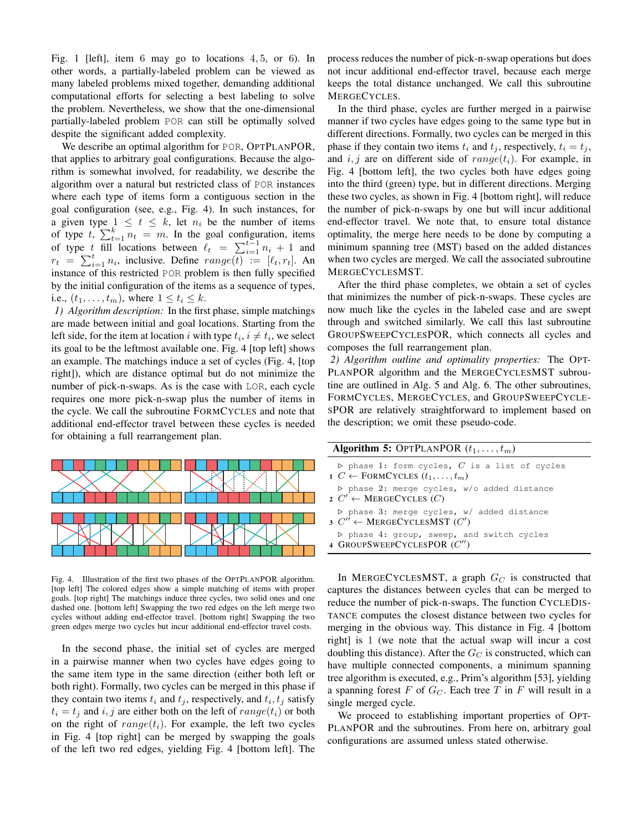Fig. [1](#page-0-0) [left], item 6 may go to locations 4, 5, or 6). In other words, a partially-labeled problem can be viewed as many labeled problems mixed together, demanding additional computational efforts for selecting a best labeling to solve the problem. Nevertheless, we show that the one-dimensional partially-labeled problem POR can still be optimally solved despite the significant added complexity.

We describe an optimal algorithm for POR, OPTPLANPOR, that applies to arbitrary goal configurations. Because the algorithm is somewhat involved, for readability, we describe the algorithm over a natural but restricted class of POR instances where each type of items form a contiguous section in the goal configuration (see, e.g., Fig. [4\)](#page-5-0). In such instances, for a given type  $1 \leq t \leq k$ , let  $n_i$  be the number of items of type  $t$ ,  $\sum_{t=1}^{k} n_t = m$ . In the goal configuration, items of type t fill locations between  $\ell_t = \sum_{i=1}^{t-1} n_i + 1$  and  $r_t = \sum_{i=1}^t n_i$ , inclusive. Define  $range(t) := [\ell_t, r_t]$ . An instance of this restricted POR problem is then fully specified by the initial configuration of the items as a sequence of types, i.e.,  $(t_1, ..., t_m)$ , where  $1 \le t_i \le k$ .

*1) Algorithm description:* In the first phase, simple matchings are made between initial and goal locations. Starting from the left side, for the item at location i with type  $t_i$ ,  $i \neq t_i$ , we select its goal to be the leftmost available one. Fig. [4](#page-5-0) [top left] shows an example. The matchings induce a set of cycles (Fig. [4,](#page-5-0) [top right]), which are distance optimal but do not minimize the number of pick-n-swaps. As is the case with LOR, each cycle requires one more pick-n-swap plus the number of items in the cycle. We call the subroutine FORMCYCLES and note that additional end-effector travel between these cycles is needed for obtaining a full rearrangement plan.



<span id="page-5-0"></span>Fig. 4. Illustration of the first two phases of the OPTPLANPOR algorithm. [top left] The colored edges show a simple matching of items with proper goals. [top right] The matchings induce three cycles, two solid ones and one dashed one. [bottom left] Swapping the two red edges on the left merge two cycles without adding end-effector travel. [bottom right] Swapping the two green edges merge two cycles but incur additional end-effector travel costs.

In the second phase, the initial set of cycles are merged in a pairwise manner when two cycles have edges going to the same item type in the same direction (either both left or both right). Formally, two cycles can be merged in this phase if they contain two items  $t_i$  and  $t_j$ , respectively, and  $t_i, t_j$  satisfy  $t_i = t_j$  and i, j are either both on the left of  $range(t_i)$  or both on the right of  $range(t_i)$ . For example, the left two cycles in Fig. [4](#page-5-0) [top right] can be merged by swapping the goals of the left two red edges, yielding Fig. [4](#page-5-0) [bottom left]. The process reduces the number of pick-n-swap operations but does not incur additional end-effector travel, because each merge keeps the total distance unchanged. We call this subroutine MERGECYCLES.

In the third phase, cycles are further merged in a pairwise manner if two cycles have edges going to the same type but in different directions. Formally, two cycles can be merged in this phase if they contain two items  $t_i$  and  $t_j$ , respectively,  $t_i = t_j$ , and i, j are on different side of  $range(t_i)$ . For example, in Fig. [4](#page-5-0) [bottom left], the two cycles both have edges going into the third (green) type, but in different directions. Merging these two cycles, as shown in Fig. [4](#page-5-0) [bottom right], will reduce the number of pick-n-swaps by one but will incur additional end-effector travel. We note that, to ensure total distance optimality, the merge here needs to be done by computing a minimum spanning tree (MST) based on the added distances when two cycles are merged. We call the associated subroutine MERGECYCLESMST.

After the third phase completes, we obtain a set of cycles that minimizes the number of pick-n-swaps. These cycles are now much like the cycles in the labeled case and are swept through and switched similarly. We call this last subroutine GROUPSWEEPCYCLESPOR, which connects all cycles and composes the full rearrangement plan.

*2) Algorithm outline and optimality properties:* The OPT-PLANPOR algorithm and the MERGECYCLESMST subroutine are outlined in Alg. [5](#page-5-1) and Alg. [6.](#page-6-0) The other subroutines, FORMCYCLES, MERGECYCLES, and GROUPSWEEPCYCLE-SPOR are relatively straightforward to implement based on the description; we omit these pseudo-code.

| <b>Algorithm 5:</b> OPTPLANPOR $(t_1, \ldots, t_m)$                                                                |  |
|--------------------------------------------------------------------------------------------------------------------|--|
| $\triangleright$ phase 1: form cycles, C is a list of cycles<br>$1 \ C \leftarrow$ FORMCYCLES $(t_1, \ldots, t_m)$ |  |
| $\triangleright$ phase 2: merge cycles, w/o added distance<br>2 $C' \leftarrow$ MERGECYCLES $(C)$                  |  |
| $\triangleright$ phase 3: merge cycles, w/ added distance<br>$3 \, C'' \leftarrow \text{MERGECYCLESMST} \, (C')$   |  |
| $\triangleright$ phase 4: group, sweep, and switch cycles<br>4 GROUPSWEEPCYCLESPOR (C")                            |  |

<span id="page-5-1"></span>In MERGECYCLESMST, a graph  $G_C$  is constructed that captures the distances between cycles that can be merged to reduce the number of pick-n-swaps. The function CYCLEDIS-TANCE computes the closest distance between two cycles for merging in the obvious way. This distance in Fig. [4](#page-5-0) [bottom right] is 1 (we note that the actual swap will incur a cost doubling this distance). After the  $G_C$  is constructed, which can have multiple connected components, a minimum spanning tree algorithm is executed, e.g., Prim's algorithm [\[53\]](#page-12-18), yielding a spanning forest F of  $G_C$ . Each tree T in F will result in a single merged cycle.

We proceed to establishing important properties of OPT-PLANPOR and the subroutines. From here on, arbitrary goal configurations are assumed unless stated otherwise.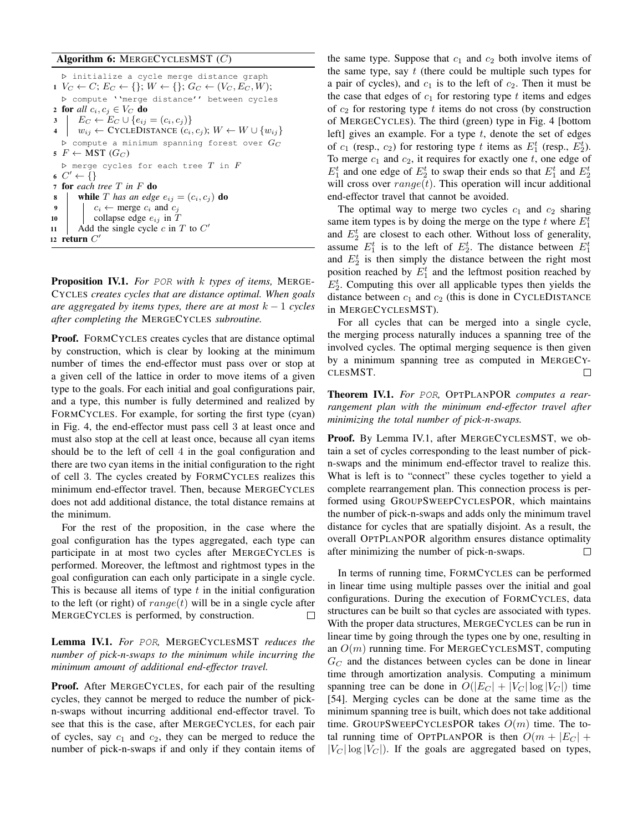## Algorithm 6: MERGECYCLESMST (C)

```
. initialize a cycle merge distance graph
1 V_C \leftarrow C; E_C \leftarrow \{\}; W \leftarrow \{\}; G_C \leftarrow (V_C, E_C, W);. compute ''merge distance'' between cycles
2 for all c_i, c_j \in V_C do
3 | E_C \leftarrow E_C \cup \{e_{ij} = (c_i, c_j)\}4 | w_{ij} \leftarrow \text{CYCLEDISTANCE}(c_i, c_j); W \leftarrow W \cup \{w_{ij}\}\\triangleright compute a minimum spanning forest over G_C5 F \leftarrow \text{MST}(G_C)D merge cycles for each tree T in F6 C' \leftarrow \{\}7 for each tree T in F do
8 while T has an edge e_{ij} = (c_i, c_j) do
            c_i \leftarrow merge c_i and c_j10 | collapse edge e_{ij} in T
11 | Add the single cycle c in T to C'12 return C'
```
<span id="page-6-2"></span><span id="page-6-0"></span>Proposition IV.1. *For* POR *with* k *types of items,* MERGE-CYCLES *creates cycles that are distance optimal. When goals are aggregated by items types, there are at most* k − 1 *cycles after completing the* MERGECYCLES *subroutine.*

Proof. FORMCYCLES creates cycles that are distance optimal by construction, which is clear by looking at the minimum number of times the end-effector must pass over or stop at a given cell of the lattice in order to move items of a given type to the goals. For each initial and goal configurations pair, and a type, this number is fully determined and realized by FORMCYCLES. For example, for sorting the first type (cyan) in Fig. [4,](#page-5-0) the end-effector must pass cell 3 at least once and must also stop at the cell at least once, because all cyan items should be to the left of cell 4 in the goal configuration and there are two cyan items in the initial configuration to the right of cell 3. The cycles created by FORMCYCLES realizes this minimum end-effector travel. Then, because MERGECYCLES does not add additional distance, the total distance remains at the minimum.

For the rest of the proposition, in the case where the goal configuration has the types aggregated, each type can participate in at most two cycles after MERGECYCLES is performed. Moreover, the leftmost and rightmost types in the goal configuration can each only participate in a single cycle. This is because all items of type  $t$  in the initial configuration to the left (or right) of  $range(t)$  will be in a single cycle after MERGECYCLES is performed, by construction.

<span id="page-6-1"></span>Lemma IV.1. *For* POR*,* MERGECYCLESMST *reduces the number of pick-n-swaps to the minimum while incurring the minimum amount of additional end-effector travel.*

Proof. After MERGECYCLES, for each pair of the resulting cycles, they cannot be merged to reduce the number of pickn-swaps without incurring additional end-effector travel. To see that this is the case, after MERGECYCLES, for each pair of cycles, say  $c_1$  and  $c_2$ , they can be merged to reduce the number of pick-n-swaps if and only if they contain items of the same type. Suppose that  $c_1$  and  $c_2$  both involve items of the same type, say  $t$  (there could be multiple such types for a pair of cycles), and  $c_1$  is to the left of  $c_2$ . Then it must be the case that edges of  $c_1$  for restoring type t items and edges of  $c_2$  for restoring type t items do not cross (by construction of MERGECYCLES). The third (green) type in Fig. [4](#page-5-0) [bottom left] gives an example. For a type  $t$ , denote the set of edges of  $c_1$  (resp.,  $c_2$ ) for restoring type t items as  $E_1^t$  (resp.,  $E_2^t$ ). To merge  $c_1$  and  $c_2$ , it requires for exactly one  $t$ , one edge of  $E_1^t$  and one edge of  $E_2^t$  to swap their ends so that  $E_1^t$  and  $E_2^t$ will cross over  $range(t)$ . This operation will incur additional end-effector travel that cannot be avoided.

The optimal way to merge two cycles  $c_1$  and  $c_2$  sharing same item types is by doing the merge on the type  $t$  where  $E_1^t$ and  $E_2^t$  are closest to each other. Without loss of generality, assume  $E_1^t$  is to the left of  $E_2^t$ . The distance between  $E_1^t$ and  $E_2^t$  is then simply the distance between the right most position reached by  $E_1^t$  and the leftmost position reached by  $E_2^t$ . Computing this over all applicable types then yields the distance between  $c_1$  and  $c_2$  (this is done in CYCLEDISTANCE in MERGECYCLESMST).

For all cycles that can be merged into a single cycle, the merging process naturally induces a spanning tree of the involved cycles. The optimal merging sequence is then given by a minimum spanning tree as computed in MERGECY-CLESMST. П

Theorem IV.1. *For* POR*,* OPTPLANPOR *computes a rearrangement plan with the minimum end-effector travel after minimizing the total number of pick-n-swaps.*

Proof. By Lemma [IV.1,](#page-6-1) after MERGECYCLESMST, we obtain a set of cycles corresponding to the least number of pickn-swaps and the minimum end-effector travel to realize this. What is left is to "connect" these cycles together to yield a complete rearrangement plan. This connection process is performed using GROUPSWEEPCYCLESPOR, which maintains the number of pick-n-swaps and adds only the minimum travel distance for cycles that are spatially disjoint. As a result, the overall OPTPLANPOR algorithm ensures distance optimality after minimizing the number of pick-n-swaps. □

In terms of running time, FORMCYCLES can be performed in linear time using multiple passes over the initial and goal configurations. During the execution of FORMCYCLES, data structures can be built so that cycles are associated with types. With the proper data structures, MERGECYCLES can be run in linear time by going through the types one by one, resulting in an  $O(m)$  running time. For MERGECYCLESMST, computing  $G_C$  and the distances between cycles can be done in linear time through amortization analysis. Computing a minimum spanning tree can be done in  $O(|E_C| + |V_C| \log |V_C|)$  time [\[54\]](#page-12-19). Merging cycles can be done at the same time as the minimum spanning tree is built, which does not take additional time. GROUPSWEEPCYCLESPOR takes  $O(m)$  time. The total running time of OPTPLANPOR is then  $O(m + |E_C| +$  $|V_C| \log |V_C|$ . If the goals are aggregated based on types,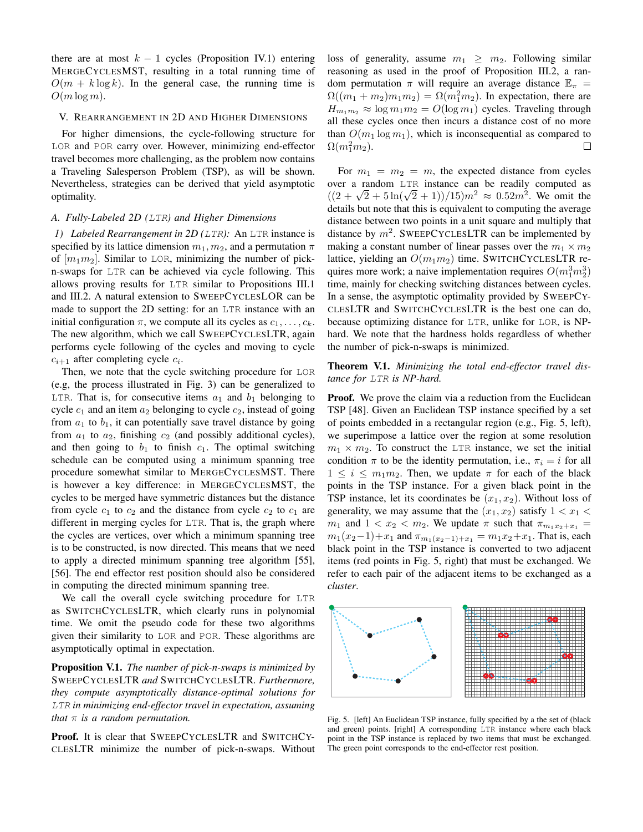there are at most  $k - 1$  cycles (Proposition [IV.1\)](#page-6-2) entering MERGECYCLESMST, resulting in a total running time of  $O(m + k \log k)$ . In the general case, the running time is  $O(m \log m)$ .

## <span id="page-7-0"></span>V. REARRANGEMENT IN 2D AND HIGHER DIMENSIONS

For higher dimensions, the cycle-following structure for LOR and POR carry over. However, minimizing end-effector travel becomes more challenging, as the problem now contains a Traveling Salesperson Problem (TSP), as will be shown. Nevertheless, strategies can be derived that yield asymptotic optimality.

## *A. Fully-Labeled 2D (*LTR*) and Higher Dimensions*

*1) Labeled Rearrangement in 2D (*LTR*):* An LTR instance is specified by its lattice dimension  $m_1, m_2$ , and a permutation  $\pi$ of  $[m_1m_2]$ . Similar to LOR, minimizing the number of pickn-swaps for LTR can be achieved via cycle following. This allows proving results for LTR similar to Propositions [III.1](#page-3-2) and [III.2.](#page-3-3) A natural extension to SWEEPCYCLESLOR can be made to support the 2D setting: for an LTR instance with an initial configuration  $\pi$ , we compute all its cycles as  $c_1, \ldots, c_k$ . The new algorithm, which we call SWEEPCYCLESLTR, again performs cycle following of the cycles and moving to cycle  $c_{i+1}$  after completing cycle  $c_i$ .

Then, we note that the cycle switching procedure for LOR (e.g, the process illustrated in Fig. [3\)](#page-4-1) can be generalized to LTR. That is, for consecutive items  $a_1$  and  $b_1$  belonging to cycle  $c_1$  and an item  $a_2$  belonging to cycle  $c_2$ , instead of going from  $a_1$  to  $b_1$ , it can potentially save travel distance by going from  $a_1$  to  $a_2$ , finishing  $c_2$  (and possibly additional cycles), and then going to  $b_1$  to finish  $c_1$ . The optimal switching schedule can be computed using a minimum spanning tree procedure somewhat similar to MERGECYCLESMST. There is however a key difference: in MERGECYCLESMST, the cycles to be merged have symmetric distances but the distance from cycle  $c_1$  to  $c_2$  and the distance from cycle  $c_2$  to  $c_1$  are different in merging cycles for LTR. That is, the graph where the cycles are vertices, over which a minimum spanning tree is to be constructed, is now directed. This means that we need to apply a directed minimum spanning tree algorithm [\[55\]](#page-12-20), [\[56\]](#page-12-21). The end effector rest position should also be considered in computing the directed minimum spanning tree.

We call the overall cycle switching procedure for LTR as SWITCHCYCLESLTR, which clearly runs in polynomial time. We omit the pseudo code for these two algorithms given their similarity to LOR and POR. These algorithms are asymptotically optimal in expectation.

<span id="page-7-2"></span>Proposition V.1. *The number of pick-n-swaps is minimized by* SWEEPCYCLESLTR *and* SWITCHCYCLESLTR*. Furthermore, they compute asymptotically distance-optimal solutions for* LTR *in minimizing end-effector travel in expectation, assuming that* π *is a random permutation.*

Proof. It is clear that SWEEPCYCLESLTR and SWITCHCY-CLESLTR minimize the number of pick-n-swaps. Without

loss of generality, assume  $m_1 \geq m_2$ . Following similar reasoning as used in the proof of Proposition [III.2,](#page-3-3) a random permutation  $\pi$  will require an average distance  $\mathbb{E}_{\pi}$  =  $\Omega((m_1 + m_2)m_1m_2) = \Omega(m_1^2m_2)$ . In expectation, there are  $H_{m_1m_2} \approx \log m_1 m_2 = O(\log m_1)$  cycles. Traveling through all these cycles once then incurs a distance cost of no more than  $O(m_1 \log m_1)$ , which is inconsequential as compared to  $\Omega(m_1^2m_2)$ .  $\Box$ 

For  $m_1 = m_2 = m$ , the expected distance from cycles over a random LTR instance can be readily computed as over a random LTR instance can be readily computed as  $((2 + \sqrt{2} + 5\ln(\sqrt{2} + 1))/15)m^2 \approx 0.52m^2$ . We omit the details but note that this is equivalent to computing the average distance between two points in a unit square and multiply that distance by  $m^2$ . SWEEPCYCLESLTR can be implemented by making a constant number of linear passes over the  $m_1 \times m_2$ lattice, yielding an  $O(m_1m_2)$  time. SWITCHCYCLESLTR requires more work; a naive implementation requires  $O(m_1^3 m_2^3)$ time, mainly for checking switching distances between cycles. In a sense, the asymptotic optimality provided by SWEEPCY-CLESLTR and SWITCHCYCLESLTR is the best one can do, because optimizing distance for LTR, unlike for LOR, is NPhard. We note that the hardness holds regardless of whether the number of pick-n-swaps is minimized.

## <span id="page-7-3"></span>Theorem V.1. *Minimizing the total end-effector travel distance for* LTR *is NP-hard.*

Proof. We prove the claim via a reduction from the Euclidean TSP [\[48\]](#page-12-13). Given an Euclidean TSP instance specified by a set of points embedded in a rectangular region (e.g., Fig. [5,](#page-7-1) left), we superimpose a lattice over the region at some resolution  $m_1 \times m_2$ . To construct the LTR instance, we set the initial condition  $\pi$  to be the identity permutation, i.e.,  $\pi_i = i$  for all  $1 \leq i \leq m_1 m_2$ . Then, we update  $\pi$  for each of the black points in the TSP instance. For a given black point in the TSP instance, let its coordinates be  $(x_1, x_2)$ . Without loss of generality, we may assume that the  $(x_1, x_2)$  satisfy  $1 < x_1 <$  $m_1$  and  $1 < x_2 < m_2$ . We update  $\pi$  such that  $\pi_{m_1x_2+x_1} =$  $m_1(x_2-1)+x_1$  and  $\pi_{m_1(x_2-1)+x_1} = m_1x_2+x_1$ . That is, each black point in the TSP instance is converted to two adjacent items (red points in Fig. [5,](#page-7-1) right) that must be exchanged. We refer to each pair of the adjacent items to be exchanged as a *cluster*.



<span id="page-7-1"></span>Fig. 5. [left] An Euclidean TSP instance, fully specified by a the set of (black and green) points. [right] A corresponding LTR instance where each black point in the TSP instance is replaced by two items that must be exchanged. The green point corresponds to the end-effector rest position.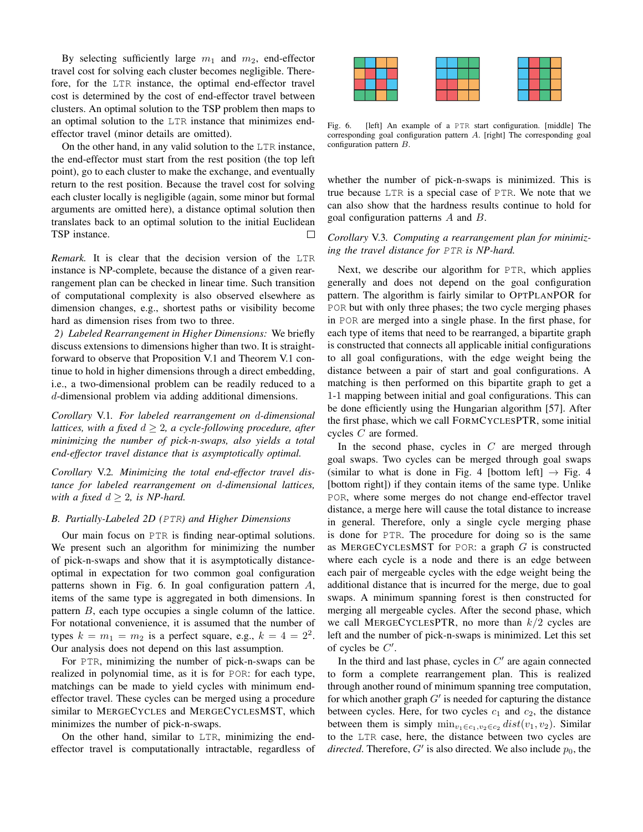By selecting sufficiently large  $m_1$  and  $m_2$ , end-effector travel cost for solving each cluster becomes negligible. Therefore, for the LTR instance, the optimal end-effector travel cost is determined by the cost of end-effector travel between clusters. An optimal solution to the TSP problem then maps to an optimal solution to the LTR instance that minimizes endeffector travel (minor details are omitted).

On the other hand, in any valid solution to the LTR instance, the end-effector must start from the rest position (the top left point), go to each cluster to make the exchange, and eventually return to the rest position. Because the travel cost for solving each cluster locally is negligible (again, some minor but formal arguments are omitted here), a distance optimal solution then translates back to an optimal solution to the initial Euclidean TSP instance.  $\Box$ 

*Remark.* It is clear that the decision version of the LTR instance is NP-complete, because the distance of a given rearrangement plan can be checked in linear time. Such transition of computational complexity is also observed elsewhere as dimension changes, e.g., shortest paths or visibility become hard as dimension rises from two to three.

*2) Labeled Rearrangement in Higher Dimensions:* We briefly discuss extensions to dimensions higher than two. It is straightforward to observe that Proposition [V.1](#page-7-2) and Theorem [V.1](#page-7-3) continue to hold in higher dimensions through a direct embedding, i.e., a two-dimensional problem can be readily reduced to a d-dimensional problem via adding additional dimensions.

*Corollary* V.1*. For labeled rearrangement on* d*-dimensional lattices, with a fixed*  $d \geq 2$ , a cycle-following procedure, after *minimizing the number of pick-n-swaps, also yields a total end-effector travel distance that is asymptotically optimal.*

*Corollary* V.2*. Minimizing the total end-effector travel distance for labeled rearrangement on* d*-dimensional lattices, with a fixed*  $d \geq 2$ *, is NP-hard.* 

#### *B. Partially-Labeled 2D (*PTR*) and Higher Dimensions*

Our main focus on PTR is finding near-optimal solutions. We present such an algorithm for minimizing the number of pick-n-swaps and show that it is asymptotically distanceoptimal in expectation for two common goal configuration patterns shown in Fig. [6.](#page-8-0) In goal configuration pattern A, items of the same type is aggregated in both dimensions. In pattern B, each type occupies a single column of the lattice. For notational convenience, it is assumed that the number of types  $k = m_1 = m_2$  is a perfect square, e.g.,  $k = 4 = 2^2$ . Our analysis does not depend on this last assumption.

For PTR, minimizing the number of pick-n-swaps can be realized in polynomial time, as it is for POR: for each type, matchings can be made to yield cycles with minimum endeffector travel. These cycles can be merged using a procedure similar to MERGECYCLES and MERGECYCLESMST, which minimizes the number of pick-n-swaps.

On the other hand, similar to LTR, minimizing the endeffector travel is computationally intractable, regardless of



<span id="page-8-0"></span>Fig. 6. [left] An example of a PTR start configuration. [middle] The corresponding goal configuration pattern A. [right] The corresponding goal configuration pattern B.

whether the number of pick-n-swaps is minimized. This is true because LTR is a special case of PTR. We note that we can also show that the hardness results continue to hold for goal configuration patterns A and B.

*Corollary* V.3*. Computing a rearrangement plan for minimizing the travel distance for* PTR *is NP-hard.*

Next, we describe our algorithm for PTR, which applies generally and does not depend on the goal configuration pattern. The algorithm is fairly similar to OPTPLANPOR for POR but with only three phases; the two cycle merging phases in POR are merged into a single phase. In the first phase, for each type of items that need to be rearranged, a bipartite graph is constructed that connects all applicable initial configurations to all goal configurations, with the edge weight being the distance between a pair of start and goal configurations. A matching is then performed on this bipartite graph to get a 1-1 mapping between initial and goal configurations. This can be done efficiently using the Hungarian algorithm [\[57\]](#page-12-22). After the first phase, which we call FORMCYCLESPTR, some initial cycles C are formed.

In the second phase, cycles in  $C$  are merged through goal swaps. Two cycles can be merged through goal swaps (similar to what is done in Fig. [4](#page-5-0) [bottom left]  $\rightarrow$  Fig. 4 [bottom right]) if they contain items of the same type. Unlike POR, where some merges do not change end-effector travel distance, a merge here will cause the total distance to increase in general. Therefore, only a single cycle merging phase is done for PTR. The procedure for doing so is the same as MERGECYCLESMST for POR: a graph  $G$  is constructed where each cycle is a node and there is an edge between each pair of mergeable cycles with the edge weight being the additional distance that is incurred for the merge, due to goal swaps. A minimum spanning forest is then constructed for merging all mergeable cycles. After the second phase, which we call MERGECYCLESPTR, no more than  $k/2$  cycles are left and the number of pick-n-swaps is minimized. Let this set of cycles be  $C'$ .

In the third and last phase, cycles in  $C'$  are again connected to form a complete rearrangement plan. This is realized through another round of minimum spanning tree computation, for which another graph  $G'$  is needed for capturing the distance between cycles. Here, for two cycles  $c_1$  and  $c_2$ , the distance between them is simply  $\min_{v_1 \in c_1, v_2 \in c_2} dist(v_1, v_2)$ . Similar to the LTR case, here, the distance between two cycles are *directed*. Therefore,  $G'$  is also directed. We also include  $p_0$ , the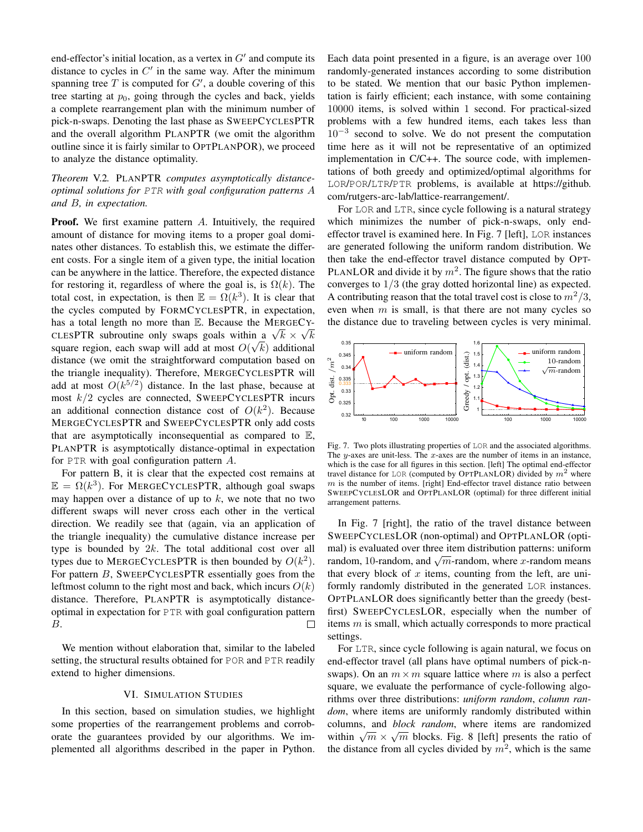end-effector's initial location, as a vertex in  $G'$  and compute its distance to cycles in  $C'$  in the same way. After the minimum spanning tree  $T$  is computed for  $G'$ , a double covering of this tree starting at  $p_0$ , going through the cycles and back, yields a complete rearrangement plan with the minimum number of pick-n-swaps. Denoting the last phase as SWEEPCYCLESPTR and the overall algorithm PLANPTR (we omit the algorithm outline since it is fairly similar to OPTPLANPOR), we proceed to analyze the distance optimality.

# *Theorem* V.2*.* PLANPTR *computes asymptotically distanceoptimal solutions for* PTR *with goal configuration patterns* A *and* B*, in expectation.*

**Proof.** We first examine pattern A. Intuitively, the required amount of distance for moving items to a proper goal dominates other distances. To establish this, we estimate the different costs. For a single item of a given type, the initial location can be anywhere in the lattice. Therefore, the expected distance for restoring it, regardless of where the goal is, is  $\Omega(k)$ . The total cost, in expectation, is then  $\mathbb{E} = \Omega(k^3)$ . It is clear that the cycles computed by FORMCYCLESPTR, in expectation, has a total length no more than  $\mathbb E$ . Because the MERGECYhas a total length no more than **E**. Because the MERGECY-<br>CLESPTR subroutine only swaps goals within a  $\sqrt{k} \times \sqrt{k}$ square region, each swap will add at most  $O(\sqrt{k})$  additional distance (we omit the straightforward computation based on the triangle inequality). Therefore, MERGECYCLESPTR will add at most  $O(k^{5/2})$  distance. In the last phase, because at most  $k/2$  cycles are connected, SWEEPCYCLESPTR incurs an additional connection distance cost of  $O(k^2)$ . Because MERGECYCLESPTR and SWEEPCYCLESPTR only add costs that are asymptotically inconsequential as compared to  $E$ , PLANPTR is asymptotically distance-optimal in expectation for PTR with goal configuration pattern A.

For pattern B, it is clear that the expected cost remains at  $\mathbb{E} = \Omega(k^3)$ . For MERGECYCLESPTR, although goal swaps may happen over a distance of up to  $k$ , we note that no two different swaps will never cross each other in the vertical direction. We readily see that (again, via an application of the triangle inequality) the cumulative distance increase per type is bounded by  $2k$ . The total additional cost over all types due to MERGECYCLESPTR is then bounded by  $O(k^2)$ . For pattern B, SWEEPCYCLESPTR essentially goes from the leftmost column to the right most and back, which incurs  $O(k)$ distance. Therefore, PLANPTR is asymptotically distanceoptimal in expectation for PTR with goal configuration pattern B. П

We mention without elaboration that, similar to the labeled setting, the structural results obtained for POR and PTR readily extend to higher dimensions.

#### VI. SIMULATION STUDIES

<span id="page-9-0"></span>In this section, based on simulation studies, we highlight some properties of the rearrangement problems and corroborate the guarantees provided by our algorithms. We implemented all algorithms described in the paper in Python.

Each data point presented in a figure, is an average over 100 randomly-generated instances according to some distribution to be stated. We mention that our basic Python implementation is fairly efficient; each instance, with some containing 10000 items, is solved within 1 second. For practical-sized problems with a few hundred items, each takes less than 10−<sup>3</sup> second to solve. We do not present the computation time here as it will not be representative of an optimized implementation in C/C++. The source code, with implementations of both greedy and optimized/optimal algorithms for LOR/POR/LTR/PTR problems, is available at [https://github.](https://github.com/rutgers-arc-lab/lattice-rearrangement/) [com/rutgers-arc-lab/lattice-rearrangement/.](https://github.com/rutgers-arc-lab/lattice-rearrangement/)

For LOR and LTR, since cycle following is a natural strategy which minimizes the number of pick-n-swaps, only endeffector travel is examined here. In Fig. [7](#page-9-1) [left], LOR instances are generated following the uniform random distribution. We then take the end-effector travel distance computed by OPT-PLANLOR and divide it by  $m^2$ . The figure shows that the ratio converges to 1/3 (the gray dotted horizontal line) as expected. A contributing reason that the total travel cost is close to  $m^2/3$ , even when  $m$  is small, is that there are not many cycles so the distance due to traveling between cycles is very minimal.



<span id="page-9-1"></span>Fig. 7. Two plots illustrating properties of LOR and the associated algorithms. The y-axes are unit-less. The x-axes are the number of items in an instance, which is the case for all figures in this section. [left] The optimal end-effector travel distance for LOR (computed by OPTPLANLOR) divided by  $m^2$  where  $m$  is the number of items. [right] End-effector travel distance ratio between SWEEPCYCLESLOR and OPTPLANLOR (optimal) for three different initial arrangement patterns.

In Fig. [7](#page-9-1) [right], the ratio of the travel distance between SWEEPCYCLESLOR (non-optimal) and OPTPLANLOR (optimal) is evaluated over three item distribution patterns: uniform random, 10-random, and  $\sqrt{m}$ -random, where x-random means that every block of  $x$  items, counting from the left, are uniformly randomly distributed in the generated LOR instances. OPTPLANLOR does significantly better than the greedy (bestfirst) SWEEPCYCLESLOR, especially when the number of items  $m$  is small, which actually corresponds to more practical settings.

For LTR, since cycle following is again natural, we focus on end-effector travel (all plans have optimal numbers of pick-nswaps). On an  $m \times m$  square lattice where m is also a perfect square, we evaluate the performance of cycle-following algorithms over three distributions: *uniform random*, *column random*, where items are uniformly randomly distributed within columns, and *block random*, where items are randomized √ columns, and *block random*, where hems are randomized<br>within  $\sqrt{m} \times \sqrt{m}$  blocks. Fig. [8](#page-10-1) [left] presents the ratio of the distance from all cycles divided by  $m^2$ , which is the same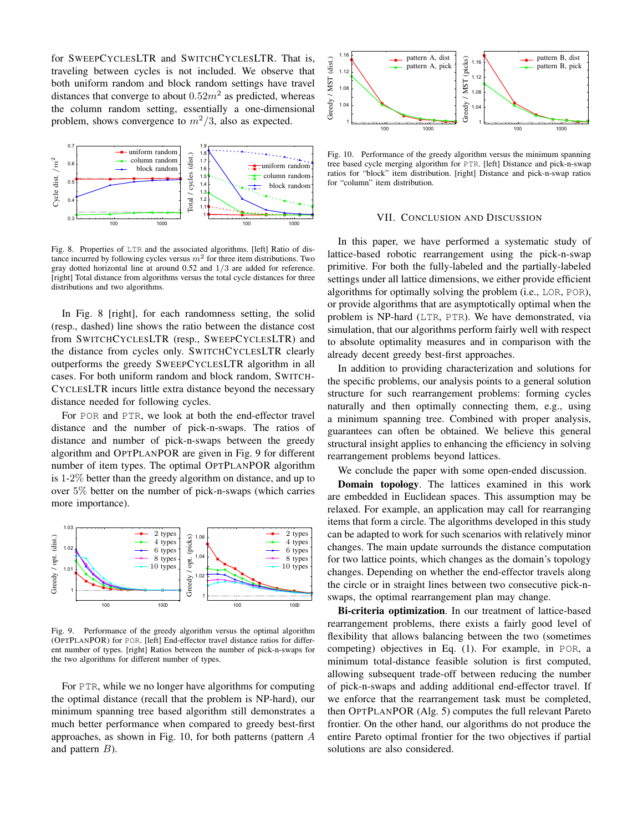for SWEEPCYCLESLTR and SWITCHCYCLESLTR. That is, traveling between cycles is not included. We observe that both uniform random and block random settings have travel distances that converge to about  $0.52m^2$  as predicted, whereas the column random setting, essentially a one-dimensional problem, shows convergence to  $m^2/3$ , also as expected.



<span id="page-10-1"></span>Fig. 8. Properties of LTR and the associated algorithms. [left] Ratio of distance incurred by following cycles versus  $m^2$  for three item distributions. Two gray dotted horizontal line at around 0.52 and 1/3 are added for reference. [right] Total distance from algorithms versus the total cycle distances for three distributions and two algorithms.

In Fig. [8](#page-10-1) [right], for each randomness setting, the solid (resp., dashed) line shows the ratio between the distance cost from SWITCHCYCLESLTR (resp., SWEEPCYCLESLTR) and the distance from cycles only. SWITCHCYCLESLTR clearly outperforms the greedy SWEEPCYCLESLTR algorithm in all cases. For both uniform random and block random, SWITCH-CYCLESLTR incurs little extra distance beyond the necessary distance needed for following cycles.

For POR and PTR, we look at both the end-effector travel distance and the number of pick-n-swaps. The ratios of distance and number of pick-n-swaps between the greedy algorithm and OPTPLANPOR are given in Fig. [9](#page-10-2) for different number of item types. The optimal OPTPLANPOR algorithm is 1-2% better than the greedy algorithm on distance, and up to over 5% better on the number of pick-n-swaps (which carries more importance).



<span id="page-10-2"></span>Fig. 9. Performance of the greedy algorithm versus the optimal algorithm (OPTPLANPOR) for POR. [left] End-effector travel distance ratios for different number of types. [right] Ratios between the number of pick-n-swaps for the two algorithms for different number of types.

For PTR, while we no longer have algorithms for computing the optimal distance (recall that the problem is NP-hard), our minimum spanning tree based algorithm still demonstrates a much better performance when compared to greedy best-first approaches, as shown in Fig. [10,](#page-10-3) for both patterns (pattern A and pattern  $B$ ).



<span id="page-10-3"></span>Fig. 10. Performance of the greedy algorithm versus the minimum spanning tree based cycle merging algorithm for PTR. [left] Distance and pick-n-swap ratios for "block" item distribution. [right] Distance and pick-n-swap ratios for "column" item distribution.

## VII. CONCLUSION AND DISCUSSION

<span id="page-10-0"></span>In this paper, we have performed a systematic study of lattice-based robotic rearrangement using the pick-n-swap primitive. For both the fully-labeled and the partially-labeled settings under all lattice dimensions, we either provide efficient algorithms for optimally solving the problem (i.e., LOR, POR), or provide algorithms that are asymptotically optimal when the problem is NP-hard (LTR, PTR). We have demonstrated, via simulation, that our algorithms perform fairly well with respect to absolute optimality measures and in comparison with the already decent greedy best-first approaches.

In addition to providing characterization and solutions for the specific problems, our analysis points to a general solution structure for such rearrangement problems: forming cycles naturally and then optimally connecting them, e.g., using a minimum spanning tree. Combined with proper analysis, guarantees can often be obtained. We believe this general structural insight applies to enhancing the efficiency in solving rearrangement problems beyond lattices.

We conclude the paper with some open-ended discussion.

Domain topology. The lattices examined in this work are embedded in Euclidean spaces. This assumption may be relaxed. For example, an application may call for rearranging items that form a circle. The algorithms developed in this study can be adapted to work for such scenarios with relatively minor changes. The main update surrounds the distance computation for two lattice points, which changes as the domain's topology changes. Depending on whether the end-effector travels along the circle or in straight lines between two consecutive pick-nswaps, the optimal rearrangement plan may change.

Bi-criteria optimization. In our treatment of lattice-based rearrangement problems, there exists a fairly good level of flexibility that allows balancing between the two (sometimes competing) objectives in Eq. [\(1\)](#page-2-1). For example, in POR, a minimum total-distance feasible solution is first computed, allowing subsequent trade-off between reducing the number of pick-n-swaps and adding additional end-effector travel. If we enforce that the rearrangement task must be completed, then OPTPLANPOR (Alg. [5\)](#page-5-1) computes the full relevant Pareto frontier. On the other hand, our algorithms do not produce the entire Pareto optimal frontier for the two objectives if partial solutions are also considered.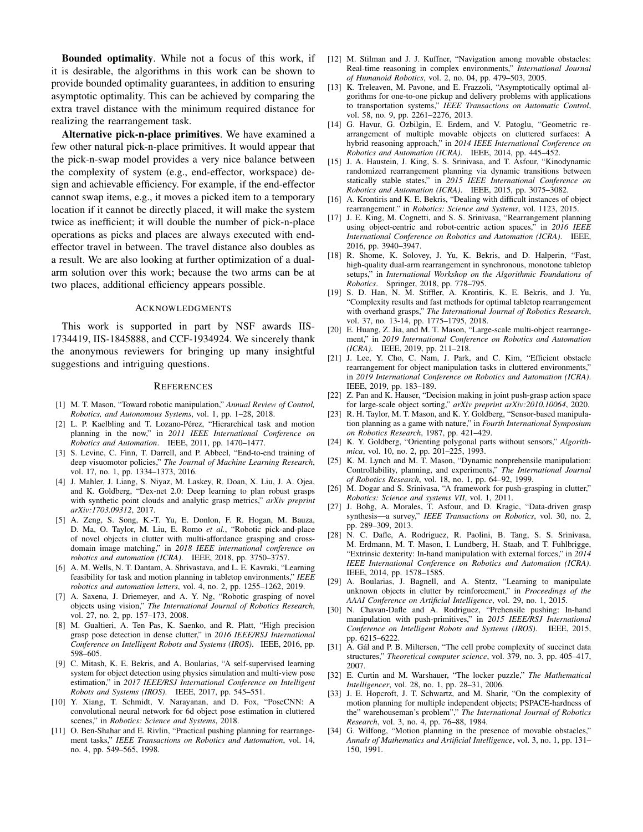Bounded optimality. While not a focus of this work, if it is desirable, the algorithms in this work can be shown to provide bounded optimality guarantees, in addition to ensuring asymptotic optimality. This can be achieved by comparing the extra travel distance with the minimum required distance for realizing the rearrangement task.

Alternative pick-n-place primitives. We have examined a few other natural pick-n-place primitives. It would appear that the pick-n-swap model provides a very nice balance between the complexity of system (e.g., end-effector, workspace) design and achievable efficiency. For example, if the end-effector cannot swap items, e.g., it moves a picked item to a temporary location if it cannot be directly placed, it will make the system twice as inefficient; it will double the number of pick-n-place operations as picks and places are always executed with endeffector travel in between. The travel distance also doubles as a result. We are also looking at further optimization of a dualarm solution over this work; because the two arms can be at two places, additional efficiency appears possible.

#### ACKNOWLEDGMENTS

This work is supported in part by NSF awards IIS-1734419, IIS-1845888, and CCF-1934924. We sincerely thank the anonymous reviewers for bringing up many insightful suggestions and intriguing questions.

#### **REFERENCES**

- <span id="page-11-0"></span>[1] M. T. Mason, "Toward robotic manipulation," *Annual Review of Control, Robotics, and Autonomous Systems*, vol. 1, pp. 1–28, 2018.
- <span id="page-11-1"></span>[2] L. P. Kaelbling and T. Lozano-Pérez, "Hierarchical task and motion planning in the now," in *2011 IEEE International Conference on Robotics and Automation*. IEEE, 2011, pp. 1470–1477.
- [3] S. Levine, C. Finn, T. Darrell, and P. Abbeel, "End-to-end training of deep visuomotor policies," *The Journal of Machine Learning Research*, vol. 17, no. 1, pp. 1334–1373, 2016.
- [4] J. Mahler, J. Liang, S. Niyaz, M. Laskey, R. Doan, X. Liu, J. A. Ojea, and K. Goldberg, "Dex-net 2.0: Deep learning to plan robust grasps with synthetic point clouds and analytic grasp metrics," *arXiv preprint arXiv:1703.09312*, 2017.
- [5] A. Zeng, S. Song, K.-T. Yu, E. Donlon, F. R. Hogan, M. Bauza, D. Ma, O. Taylor, M. Liu, E. Romo *et al.*, "Robotic pick-and-place of novel objects in clutter with multi-affordance grasping and crossdomain image matching," in *2018 IEEE international conference on robotics and automation (ICRA)*. IEEE, 2018, pp. 3750–3757.
- <span id="page-11-2"></span>[6] A. M. Wells, N. T. Dantam, A. Shrivastava, and L. E. Kavraki, "Learning feasibility for task and motion planning in tabletop environments," *IEEE robotics and automation letters*, vol. 4, no. 2, pp. 1255–1262, 2019.
- <span id="page-11-3"></span>[7] A. Saxena, J. Driemeyer, and A. Y. Ng, "Robotic grasping of novel objects using vision," *The International Journal of Robotics Research*, vol. 27, no. 2, pp. 157–173, 2008.
- [8] M. Gualtieri, A. Ten Pas, K. Saenko, and R. Platt, "High precision grasp pose detection in dense clutter," in *2016 IEEE/RSJ International Conference on Intelligent Robots and Systems (IROS)*. IEEE, 2016, pp. 598–605.
- [9] C. Mitash, K. E. Bekris, and A. Boularias, "A self-supervised learning system for object detection using physics simulation and multi-view pose estimation," in *2017 IEEE/RSJ International Conference on Intelligent Robots and Systems (IROS)*. IEEE, 2017, pp. 545–551.
- <span id="page-11-4"></span>[10] Y. Xiang, T. Schmidt, V. Narayanan, and D. Fox, "PoseCNN: A convolutional neural network for 6d object pose estimation in cluttered scenes," in *Robotics: Science and Systems*, 2018.
- <span id="page-11-5"></span>[11] O. Ben-Shahar and E. Rivlin, "Practical pushing planning for rearrangement tasks," *IEEE Transactions on Robotics and Automation*, vol. 14, no. 4, pp. 549–565, 1998.
- <span id="page-11-16"></span>[12] M. Stilman and J. J. Kuffner, "Navigation among movable obstacles: Real-time reasoning in complex environments," *International Journal of Humanoid Robotics*, vol. 2, no. 04, pp. 479–503, 2005.
- [13] K. Treleaven, M. Pavone, and E. Frazzoli, "Asymptotically optimal algorithms for one-to-one pickup and delivery problems with applications to transportation systems," *IEEE Transactions on Automatic Control*, vol. 58, no. 9, pp. 2261–2276, 2013.
- [14] G. Havur, G. Ozbilgin, E. Erdem, and V. Patoglu, "Geometric rearrangement of multiple movable objects on cluttered surfaces: A hybrid reasoning approach," in *2014 IEEE International Conference on Robotics and Automation (ICRA)*. IEEE, 2014, pp. 445–452.
- <span id="page-11-14"></span>[15] J. A. Haustein, J. King, S. S. Srinivasa, and T. Asfour, "Kinodynamic randomized rearrangement planning via dynamic transitions between statically stable states," in *2015 IEEE International Conference on Robotics and Automation (ICRA)*. IEEE, 2015, pp. 3075–3082.
- <span id="page-11-17"></span>[16] A. Krontiris and K. E. Bekris, "Dealing with difficult instances of object rearrangement." in *Robotics: Science and Systems*, vol. 1123, 2015.
- [17] J. E. King, M. Cognetti, and S. S. Srinivasa, "Rearrangement planning using object-centric and robot-centric action spaces," in *2016 IEEE International Conference on Robotics and Automation (ICRA)*. IEEE, 2016, pp. 3940–3947.
- [18] R. Shome, K. Solovey, J. Yu, K. Bekris, and D. Halperin, "Fast, high-quality dual-arm rearrangement in synchronous, monotone tabletop setups," in *International Workshop on the Algorithmic Foundations of Robotics*. Springer, 2018, pp. 778–795.
- <span id="page-11-13"></span>[19] S. D. Han, N. M. Stiffler, A. Krontiris, K. E. Bekris, and J. Yu, "Complexity results and fast methods for optimal tabletop rearrangement with overhand grasps," *The International Journal of Robotics Research*, vol. 37, no. 13-14, pp. 1775–1795, 2018.
- <span id="page-11-15"></span>[20] E. Huang, Z. Jia, and M. T. Mason, "Large-scale multi-object rearrangement," in *2019 International Conference on Robotics and Automation (ICRA)*. IEEE, 2019, pp. 211–218.
- <span id="page-11-18"></span>[21] J. Lee, Y. Cho, C. Nam, J. Park, and C. Kim, "Efficient obstacle rearrangement for object manipulation tasks in cluttered environments," in *2019 International Conference on Robotics and Automation (ICRA)*. IEEE, 2019, pp. 183–189.
- <span id="page-11-6"></span>[22] Z. Pan and K. Hauser, "Decision making in joint push-grasp action space for large-scale object sorting," *arXiv preprint arXiv:2010.10064*, 2020.
- <span id="page-11-7"></span>[23] R. H. Taylor, M. T. Mason, and K. Y. Goldberg, "Sensor-based manipulation planning as a game with nature," in *Fourth International Symposium on Robotics Research*, 1987, pp. 421–429.
- [24] K. Y. Goldberg, "Orienting polygonal parts without sensors," *Algorithmica*, vol. 10, no. 2, pp. 201–225, 1993.
- [25] K. M. Lynch and M. T. Mason, "Dynamic nonprehensile manipulation: Controllability, planning, and experiments," *The International Journal of Robotics Research*, vol. 18, no. 1, pp. 64–92, 1999.
- [26] M. Dogar and S. Srinivasa, "A framework for push-grasping in clutter." *Robotics: Science and systems VII*, vol. 1, 2011.
- [27] J. Bohg, A. Morales, T. Asfour, and D. Kragic, "Data-driven grasp synthesis—a survey," *IEEE Transactions on Robotics*, vol. 30, no. 2, pp. 289–309, 2013.
- [28] N. C. Dafle, A. Rodriguez, R. Paolini, B. Tang, S. S. Srinivasa, M. Erdmann, M. T. Mason, I. Lundberg, H. Staab, and T. Fuhlbrigge, "Extrinsic dexterity: In-hand manipulation with external forces," in *2014 IEEE International Conference on Robotics and Automation (ICRA)*. IEEE, 2014, pp. 1578–1585.
- [29] A. Boularias, J. Bagnell, and A. Stentz, "Learning to manipulate unknown objects in clutter by reinforcement," in *Proceedings of the AAAI Conference on Artificial Intelligence*, vol. 29, no. 1, 2015.
- <span id="page-11-8"></span>[30] N. Chavan-Dafle and A. Rodriguez, "Prehensile pushing: In-hand manipulation with push-primitives," in *2015 IEEE/RSJ International Conference on Intelligent Robots and Systems (IROS)*. IEEE, 2015, pp. 6215–6222.
- <span id="page-11-9"></span>[31] A. Gál and P. B. Miltersen, "The cell probe complexity of succinct data structures," *Theoretical computer science*, vol. 379, no. 3, pp. 405–417, 2007.
- <span id="page-11-10"></span>[32] E. Curtin and M. Warshauer, "The locker puzzle," *The Mathematical Intelligencer*, vol. 28, no. 1, pp. 28–31, 2006.
- <span id="page-11-11"></span>[33] J. E. Hopcroft, J. T. Schwartz, and M. Sharir, "On the complexity of motion planning for multiple independent objects; PSPACE-hardness of the" warehouseman's problem"," *The International Journal of Robotics Research*, vol. 3, no. 4, pp. 76–88, 1984.
- <span id="page-11-12"></span>[34] G. Wilfong, "Motion planning in the presence of movable obstacles," *Annals of Mathematics and Artificial Intelligence*, vol. 3, no. 1, pp. 131– 150, 1991.